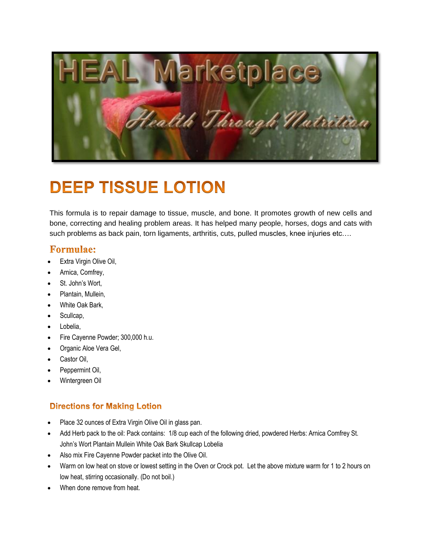

## **DEEP TISSUE LOTION**

This formula is to repair damage to tissue, muscle, and bone. It promotes growth of new cells and bone, correcting and healing problem areas. It has helped many people, horses, dogs and cats with such problems as back pain, torn ligaments, arthritis, cuts, pulled muscles, knee injuries etc….

## **Formulae:**

- Extra Virgin Olive Oil,
- Arnica, Comfrey,
- St. John's Wort,
- Plantain, Mullein,
- White Oak Bark,
- Scullcap,
- Lobelia,
- Fire Cayenne Powder; 300,000 h.u.
- Organic Aloe Vera Gel,
- Castor Oil,
- Peppermint Oil,
- Wintergreen Oil

## **Directions for Making Lotion**

- Place 32 ounces of Extra Virgin Olive Oil in glass pan.
- Add Herb pack to the oil: Pack contains: 1/8 cup each of the following dried, powdered Herbs: Arnica Comfrey St. John's Wort Plantain Mullein White Oak Bark Skullcap Lobelia
- Also mix Fire Cayenne Powder packet into the Olive Oil.
- Warm on low heat on stove or lowest setting in the Oven or Crock pot. Let the above mixture warm for 1 to 2 hours on low heat, stirring occasionally. (Do not boil.)
- When done remove from heat.